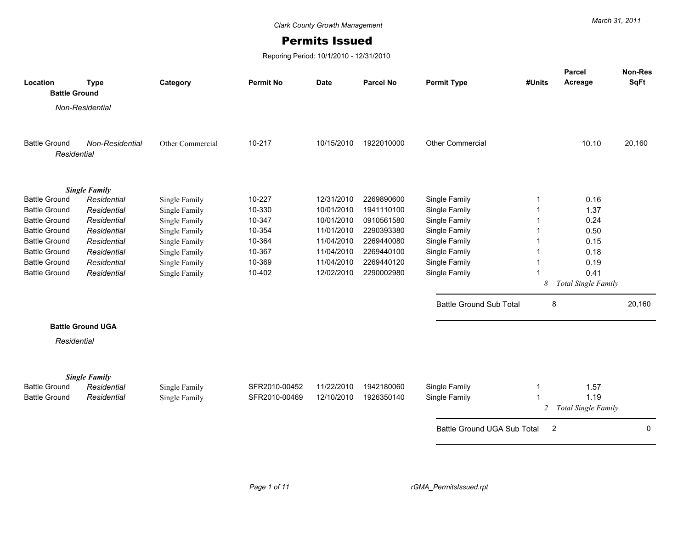## Permits Issued

Reporing Period: 10/1/2010 - 12/31/2010

| Location             | <b>Type</b>              | Category         | <b>Permit No</b> | <b>Date</b> | <b>Parcel No</b> | <b>Permit Type</b>             | #Units         | Parcel<br>Acreage   | Non-Res<br><b>SqFt</b> |
|----------------------|--------------------------|------------------|------------------|-------------|------------------|--------------------------------|----------------|---------------------|------------------------|
| <b>Battle Ground</b> |                          |                  |                  |             |                  |                                |                |                     |                        |
|                      | Non-Residential          |                  |                  |             |                  |                                |                |                     |                        |
|                      |                          |                  |                  |             |                  |                                |                |                     |                        |
|                      |                          |                  |                  |             |                  |                                |                |                     |                        |
| <b>Battle Ground</b> | Non-Residential          | Other Commercial | 10-217           | 10/15/2010  | 1922010000       | <b>Other Commercial</b>        |                | 10.10               | 20,160                 |
| Residential          |                          |                  |                  |             |                  |                                |                |                     |                        |
|                      |                          |                  |                  |             |                  |                                |                |                     |                        |
|                      | <b>Single Family</b>     |                  |                  |             |                  |                                |                |                     |                        |
| <b>Battle Ground</b> | Residential              | Single Family    | 10-227           | 12/31/2010  | 2269890600       | Single Family                  |                | 0.16                |                        |
| <b>Battle Ground</b> | Residential              | Single Family    | 10-330           | 10/01/2010  | 1941110100       | Single Family                  |                | 1.37                |                        |
| <b>Battle Ground</b> | Residential              | Single Family    | 10-347           | 10/01/2010  | 0910561580       | Single Family                  |                | 0.24                |                        |
| <b>Battle Ground</b> | Residential              | Single Family    | 10-354           | 11/01/2010  | 2290393380       | Single Family                  |                | 0.50                |                        |
| <b>Battle Ground</b> | Residential              | Single Family    | 10-364           | 11/04/2010  | 2269440080       | Single Family                  |                | 0.15                |                        |
| <b>Battle Ground</b> | Residential              | Single Family    | 10-367           | 11/04/2010  | 2269440100       | Single Family                  |                | 0.18                |                        |
| <b>Battle Ground</b> | Residential              | Single Family    | 10-369           | 11/04/2010  | 2269440120       | Single Family                  |                | 0.19                |                        |
| <b>Battle Ground</b> | Residential              | Single Family    | 10-402           | 12/02/2010  | 2290002980       | Single Family                  |                | 0.41                |                        |
|                      |                          |                  |                  |             |                  |                                | 8              | Total Single Family |                        |
|                      |                          |                  |                  |             |                  | <b>Battle Ground Sub Total</b> | 8              |                     | 20,160                 |
|                      | <b>Battle Ground UGA</b> |                  |                  |             |                  |                                |                |                     |                        |
|                      |                          |                  |                  |             |                  |                                |                |                     |                        |
| Residential          |                          |                  |                  |             |                  |                                |                |                     |                        |
|                      | <b>Single Family</b>     |                  |                  |             |                  |                                |                |                     |                        |
| <b>Battle Ground</b> | Residential              | Single Family    | SFR2010-00452    | 11/22/2010  | 1942180060       | Single Family                  | 1              | 1.57                |                        |
| <b>Battle Ground</b> | Residential              | Single Family    | SFR2010-00469    | 12/10/2010  | 1926350140       | Single Family                  |                | 1.19                |                        |
|                      |                          |                  |                  |             |                  |                                | $\mathbf{2}$   | Total Single Family |                        |
|                      |                          |                  |                  |             |                  |                                |                |                     |                        |
|                      |                          |                  |                  |             |                  | Battle Ground UGA Sub Total    | $\overline{2}$ |                     | $\mathbf{0}$           |
|                      |                          |                  |                  |             |                  |                                |                |                     |                        |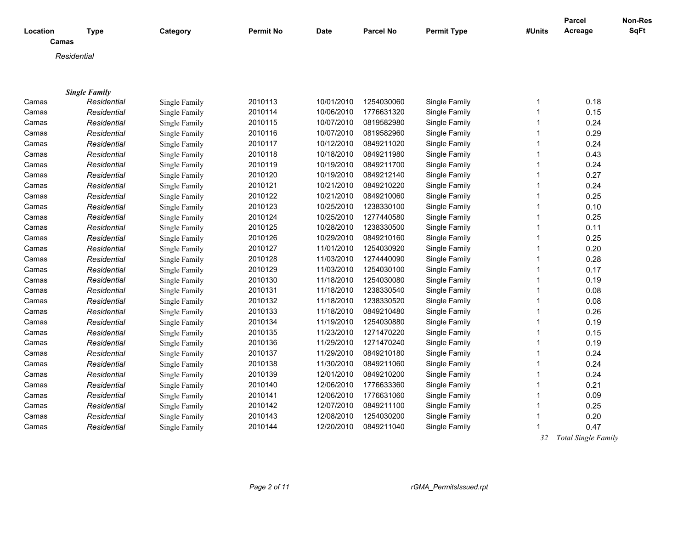| Location<br>Camas | <b>Type</b>          | Category      | Permit No | <b>Date</b> | <b>Parcel No</b> | <b>Permit Type</b> | #Units | Parcel<br>Acreage        | Non-Res<br>SqFt |
|-------------------|----------------------|---------------|-----------|-------------|------------------|--------------------|--------|--------------------------|-----------------|
| Residential       |                      |               |           |             |                  |                    |        |                          |                 |
|                   |                      |               |           |             |                  |                    |        |                          |                 |
|                   |                      |               |           |             |                  |                    |        |                          |                 |
|                   | <b>Single Family</b> |               |           |             |                  |                    |        |                          |                 |
| Camas             | Residential          | Single Family | 2010113   | 10/01/2010  | 1254030060       | Single Family      | 1      | 0.18                     |                 |
| Camas             | Residential          | Single Family | 2010114   | 10/06/2010  | 1776631320       | Single Family      | 1      | 0.15                     |                 |
| Camas             | Residential          | Single Family | 2010115   | 10/07/2010  | 0819582980       | Single Family      |        | 0.24                     |                 |
| Camas             | Residential          | Single Family | 2010116   | 10/07/2010  | 0819582960       | Single Family      |        | 0.29                     |                 |
| Camas             | Residential          | Single Family | 2010117   | 10/12/2010  | 0849211020       | Single Family      |        | 0.24                     |                 |
| Camas             | Residential          | Single Family | 2010118   | 10/18/2010  | 0849211980       | Single Family      |        | 0.43                     |                 |
| Camas             | Residential          | Single Family | 2010119   | 10/19/2010  | 0849211700       | Single Family      |        | 0.24                     |                 |
| Camas             | Residential          | Single Family | 2010120   | 10/19/2010  | 0849212140       | Single Family      |        | 0.27                     |                 |
| Camas             | Residential          | Single Family | 2010121   | 10/21/2010  | 0849210220       | Single Family      | 1      | 0.24                     |                 |
| Camas             | Residential          | Single Family | 2010122   | 10/21/2010  | 0849210060       | Single Family      |        | 0.25                     |                 |
| Camas             | Residential          | Single Family | 2010123   | 10/25/2010  | 1238330100       | Single Family      |        | 0.10                     |                 |
| Camas             | Residential          | Single Family | 2010124   | 10/25/2010  | 1277440580       | Single Family      |        | 0.25                     |                 |
| Camas             | Residential          | Single Family | 2010125   | 10/28/2010  | 1238330500       | Single Family      |        | 0.11                     |                 |
| Camas             | Residential          | Single Family | 2010126   | 10/29/2010  | 0849210160       | Single Family      |        | 0.25                     |                 |
| Camas             | Residential          | Single Family | 2010127   | 11/01/2010  | 1254030920       | Single Family      |        | 0.20                     |                 |
| Camas             | Residential          | Single Family | 2010128   | 11/03/2010  | 1274440090       | Single Family      |        | 0.28                     |                 |
| Camas             | Residential          | Single Family | 2010129   | 11/03/2010  | 1254030100       | Single Family      |        | 0.17                     |                 |
| Camas             | Residential          | Single Family | 2010130   | 11/18/2010  | 1254030080       | Single Family      |        | 0.19                     |                 |
| Camas             | Residential          | Single Family | 2010131   | 11/18/2010  | 1238330540       | Single Family      |        | 0.08                     |                 |
| Camas             | Residential          | Single Family | 2010132   | 11/18/2010  | 1238330520       | Single Family      | 1      | 0.08                     |                 |
| Camas             | Residential          | Single Family | 2010133   | 11/18/2010  | 0849210480       | Single Family      | 1      | 0.26                     |                 |
| Camas             | Residential          | Single Family | 2010134   | 11/19/2010  | 1254030880       | Single Family      |        | 0.19                     |                 |
| Camas             | Residential          | Single Family | 2010135   | 11/23/2010  | 1271470220       | Single Family      | 1      | 0.15                     |                 |
| Camas             | Residential          | Single Family | 2010136   | 11/29/2010  | 1271470240       | Single Family      | 1      | 0.19                     |                 |
| Camas             | Residential          | Single Family | 2010137   | 11/29/2010  | 0849210180       | Single Family      |        | 0.24                     |                 |
| Camas             | Residential          | Single Family | 2010138   | 11/30/2010  | 0849211060       | Single Family      |        | 0.24                     |                 |
| Camas             | Residential          | Single Family | 2010139   | 12/01/2010  | 0849210200       | Single Family      |        | 0.24                     |                 |
| Camas             | Residential          | Single Family | 2010140   | 12/06/2010  | 1776633360       | Single Family      | 1      | 0.21                     |                 |
| Camas             | Residential          | Single Family | 2010141   | 12/06/2010  | 1776631060       | Single Family      |        | 0.09                     |                 |
| Camas             | Residential          | Single Family | 2010142   | 12/07/2010  | 0849211100       | Single Family      |        | 0.25                     |                 |
| Camas             | Residential          | Single Family | 2010143   | 12/08/2010  | 1254030200       | Single Family      | 1      | 0.20                     |                 |
| Camas             | Residential          | Single Family | 2010144   | 12/20/2010  | 0849211040       | Single Family      | 1      | 0.47                     |                 |
|                   |                      |               |           |             |                  |                    |        | $T = 10$<br>$\mathbf{r}$ |                 |

 *32 Total Single Family*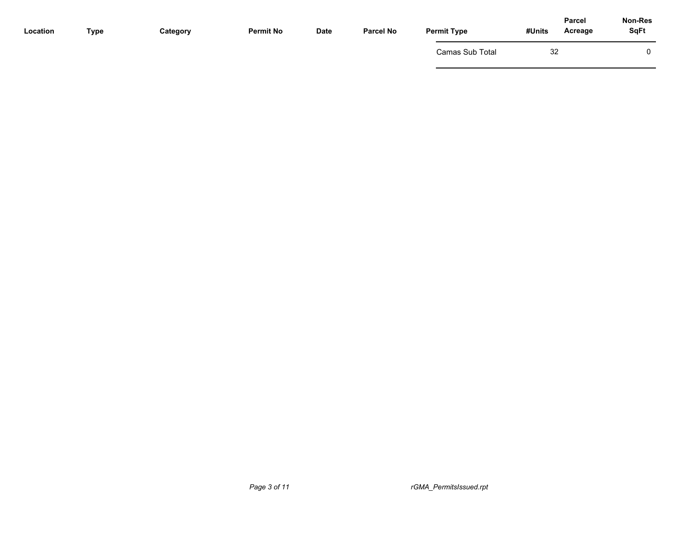| Location | Type | Category | <b>Permit No</b> | <b>Date</b> | <b>Parcel No</b> | <b>Permit Type</b> | <b>Parcel</b><br>Acreage<br>#Units | Non-Res<br><b>SqFt</b> |
|----------|------|----------|------------------|-------------|------------------|--------------------|------------------------------------|------------------------|
|          |      |          |                  |             |                  | Camas Sub Total    | 32                                 | 0                      |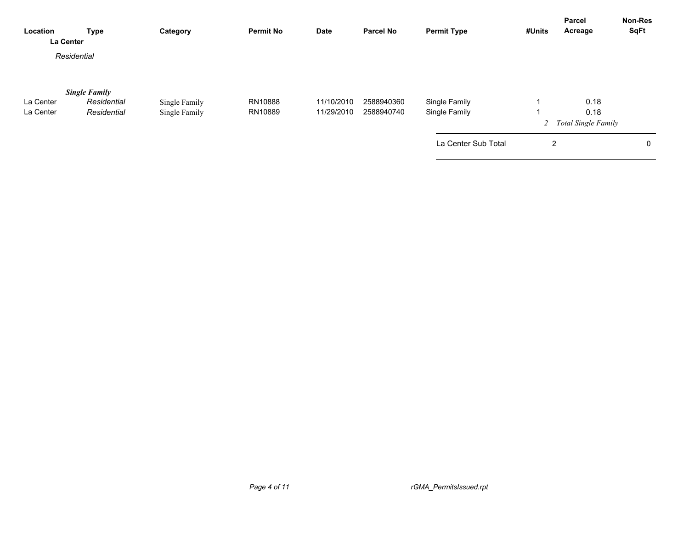| Location<br>La Center | <b>Type</b>          | Category      | <b>Permit No</b> | <b>Date</b> | <b>Parcel No</b> | <b>Permit Type</b>  | #Units         | <b>Parcel</b><br>Acreage | <b>Non-Res</b><br><b>SqFt</b> |
|-----------------------|----------------------|---------------|------------------|-------------|------------------|---------------------|----------------|--------------------------|-------------------------------|
|                       | Residential          |               |                  |             |                  |                     |                |                          |                               |
|                       | <b>Single Family</b> |               |                  |             |                  |                     |                |                          |                               |
| La Center             | Residential          | Single Family | RN10888          | 11/10/2010  | 2588940360       | Single Family       |                | 0.18                     |                               |
| La Center             | Residential          | Single Family | RN10889          | 11/29/2010  | 2588940740       | Single Family       |                | 0.18                     |                               |
|                       |                      |               |                  |             |                  |                     |                | 2 Total Single Family    |                               |
|                       |                      |               |                  |             |                  | La Center Sub Total | $\overline{2}$ |                          | 0                             |
|                       |                      |               |                  |             |                  |                     |                |                          |                               |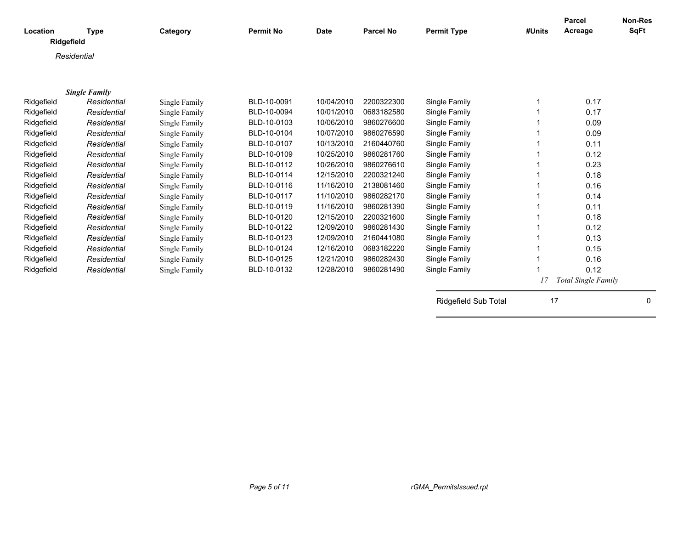| Location    | <b>Type</b>          | Category      | <b>Permit No</b> | <b>Date</b> | <b>Parcel No</b> | <b>Permit Type</b>   | #Units | <b>Parcel</b><br>Acreage   | <b>Non-Res</b><br><b>SqFt</b> |
|-------------|----------------------|---------------|------------------|-------------|------------------|----------------------|--------|----------------------------|-------------------------------|
| Ridgefield  |                      |               |                  |             |                  |                      |        |                            |                               |
| Residential |                      |               |                  |             |                  |                      |        |                            |                               |
|             |                      |               |                  |             |                  |                      |        |                            |                               |
|             |                      |               |                  |             |                  |                      |        |                            |                               |
|             | <b>Single Family</b> |               |                  |             |                  |                      |        |                            |                               |
| Ridgefield  | Residential          | Single Family | BLD-10-0091      | 10/04/2010  | 2200322300       | Single Family        |        | 0.17                       |                               |
| Ridgefield  | Residential          | Single Family | BLD-10-0094      | 10/01/2010  | 0683182580       | Single Family        |        | 0.17                       |                               |
| Ridgefield  | Residential          | Single Family | BLD-10-0103      | 10/06/2010  | 9860276600       | Single Family        |        | 0.09                       |                               |
| Ridgefield  | Residential          | Single Family | BLD-10-0104      | 10/07/2010  | 9860276590       | Single Family        |        | 0.09                       |                               |
| Ridgefield  | Residential          | Single Family | BLD-10-0107      | 10/13/2010  | 2160440760       | Single Family        |        | 0.11                       |                               |
| Ridgefield  | Residential          | Single Family | BLD-10-0109      | 10/25/2010  | 9860281760       | Single Family        |        | 0.12                       |                               |
| Ridgefield  | Residential          | Single Family | BLD-10-0112      | 10/26/2010  | 9860276610       | Single Family        |        | 0.23                       |                               |
| Ridgefield  | Residential          | Single Family | BLD-10-0114      | 12/15/2010  | 2200321240       | Single Family        |        | 0.18                       |                               |
| Ridgefield  | Residential          | Single Family | BLD-10-0116      | 11/16/2010  | 2138081460       | Single Family        |        | 0.16                       |                               |
| Ridgefield  | Residential          | Single Family | BLD-10-0117      | 11/10/2010  | 9860282170       | Single Family        |        | 0.14                       |                               |
| Ridgefield  | Residential          | Single Family | BLD-10-0119      | 11/16/2010  | 9860281390       | Single Family        |        | 0.11                       |                               |
| Ridgefield  | Residential          | Single Family | BLD-10-0120      | 12/15/2010  | 2200321600       | Single Family        |        | 0.18                       |                               |
| Ridgefield  | Residential          | Single Family | BLD-10-0122      | 12/09/2010  | 9860281430       | Single Family        |        | 0.12                       |                               |
| Ridgefield  | Residential          | Single Family | BLD-10-0123      | 12/09/2010  | 2160441080       | Single Family        |        | 0.13                       |                               |
| Ridgefield  | Residential          | Single Family | BLD-10-0124      | 12/16/2010  | 0683182220       | Single Family        |        | 0.15                       |                               |
| Ridgefield  | Residential          | Single Family | BLD-10-0125      | 12/21/2010  | 9860282430       | Single Family        |        | 0.16                       |                               |
| Ridgefield  | Residential          | Single Family | BLD-10-0132      | 12/28/2010  | 9860281490       | Single Family        |        | 0.12                       |                               |
|             |                      |               |                  |             |                  |                      | 17     | <b>Total Single Family</b> |                               |
|             |                      |               |                  |             |                  | Ridgefield Sub Total | 17     |                            | 0                             |
|             |                      |               |                  |             |                  |                      |        |                            |                               |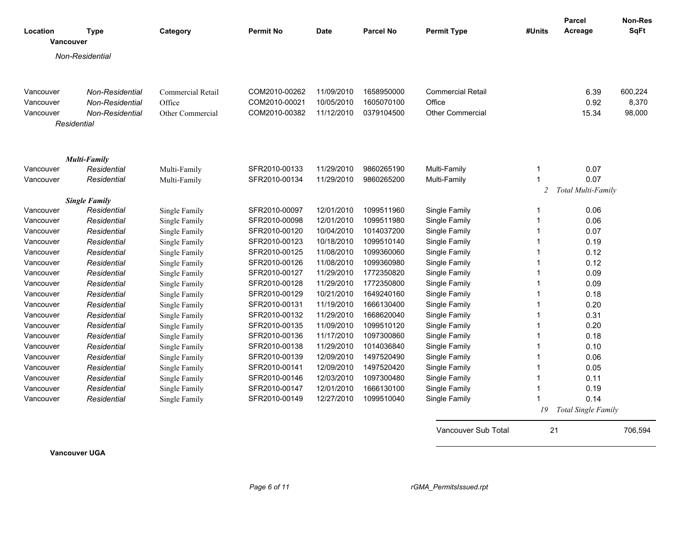| Location  | <b>Type</b>          | Category          | <b>Permit No</b> | <b>Date</b> | Parcel No  | <b>Permit Type</b>       | #Units         | Parcel<br>Acreage          | <b>Non-Res</b><br><b>SqFt</b> |
|-----------|----------------------|-------------------|------------------|-------------|------------|--------------------------|----------------|----------------------------|-------------------------------|
| Vancouver |                      |                   |                  |             |            |                          |                |                            |                               |
|           | Non-Residential      |                   |                  |             |            |                          |                |                            |                               |
|           |                      |                   |                  |             |            |                          |                |                            |                               |
|           |                      |                   |                  |             |            |                          |                |                            |                               |
| Vancouver | Non-Residential      | Commercial Retail | COM2010-00262    | 11/09/2010  | 1658950000 | <b>Commercial Retail</b> |                | 6.39                       | 600,224                       |
| Vancouver | Non-Residential      | Office            | COM2010-00021    | 10/05/2010  | 1605070100 | Office                   |                | 0.92                       | 8,370                         |
| Vancouver | Non-Residential      | Other Commercial  | COM2010-00382    | 11/12/2010  | 0379104500 | <b>Other Commercial</b>  |                | 15.34                      | 98,000                        |
|           | Residential          |                   |                  |             |            |                          |                |                            |                               |
|           |                      |                   |                  |             |            |                          |                |                            |                               |
|           |                      |                   |                  |             |            |                          |                |                            |                               |
|           | <b>Multi-Family</b>  |                   |                  |             |            |                          |                |                            |                               |
| Vancouver | Residential          | Multi-Family      | SFR2010-00133    | 11/29/2010  | 9860265190 | Multi-Family             | 1              | 0.07                       |                               |
| Vancouver | Residential          | Multi-Family      | SFR2010-00134    | 11/29/2010  | 9860265200 | Multi-Family             |                | 0.07                       |                               |
|           |                      |                   |                  |             |            |                          | $\overline{2}$ | Total Multi-Family         |                               |
|           | <b>Single Family</b> |                   |                  |             |            |                          |                |                            |                               |
| Vancouver | Residential          | Single Family     | SFR2010-00097    | 12/01/2010  | 1099511960 | Single Family            | 1              | 0.06                       |                               |
| Vancouver | Residential          | Single Family     | SFR2010-00098    | 12/01/2010  | 1099511980 | Single Family            | 1              | 0.06                       |                               |
| Vancouver | Residential          | Single Family     | SFR2010-00120    | 10/04/2010  | 1014037200 | Single Family            |                | 0.07                       |                               |
| Vancouver | Residential          | Single Family     | SFR2010-00123    | 10/18/2010  | 1099510140 | Single Family            |                | 0.19                       |                               |
| Vancouver | Residential          | Single Family     | SFR2010-00125    | 11/08/2010  | 1099360060 | Single Family            |                | 0.12                       |                               |
| Vancouver | Residential          | Single Family     | SFR2010-00126    | 11/08/2010  | 1099360980 | Single Family            | 1              | 0.12                       |                               |
| Vancouver | Residential          | Single Family     | SFR2010-00127    | 11/29/2010  | 1772350820 | Single Family            | 1              | 0.09                       |                               |
| Vancouver | Residential          | Single Family     | SFR2010-00128    | 11/29/2010  | 1772350800 | Single Family            | 1              | 0.09                       |                               |
| Vancouver | Residential          | Single Family     | SFR2010-00129    | 10/21/2010  | 1649240160 | Single Family            | 1              | 0.18                       |                               |
| Vancouver | Residential          | Single Family     | SFR2010-00131    | 11/19/2010  | 1666130400 | Single Family            |                | 0.20                       |                               |
| Vancouver | Residential          | Single Family     | SFR2010-00132    | 11/29/2010  | 1668620040 | Single Family            |                | 0.31                       |                               |
| Vancouver | Residential          | Single Family     | SFR2010-00135    | 11/09/2010  | 1099510120 | Single Family            | 1              | 0.20                       |                               |
| Vancouver | Residential          | Single Family     | SFR2010-00136    | 11/17/2010  | 1097300860 | Single Family            | 1              | 0.18                       |                               |
| Vancouver | Residential          | Single Family     | SFR2010-00138    | 11/29/2010  | 1014036840 | Single Family            | 1              | 0.10                       |                               |
| Vancouver | Residential          | Single Family     | SFR2010-00139    | 12/09/2010  | 1497520490 | Single Family            | 1              | 0.06                       |                               |
| Vancouver | Residential          | Single Family     | SFR2010-00141    | 12/09/2010  | 1497520420 | Single Family            | 1              | 0.05                       |                               |
| Vancouver | Residential          | Single Family     | SFR2010-00146    | 12/03/2010  | 1097300480 | Single Family            | 1              | 0.11                       |                               |
| Vancouver | Residential          | Single Family     | SFR2010-00147    | 12/01/2010  | 1666130100 | Single Family            |                | 0.19                       |                               |
| Vancouver | Residential          | Single Family     | SFR2010-00149    | 12/27/2010  | 1099510040 | Single Family            |                | 0.14                       |                               |
|           |                      |                   |                  |             |            |                          | 19             | <b>Total Single Family</b> |                               |

**Vancouver UGA**

Vancouver Sub Total 21 706,594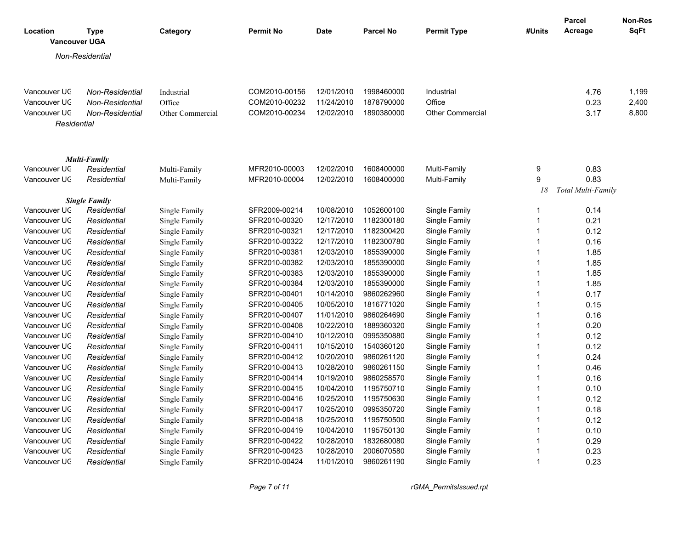|                                  |                      |                  |                  |             |                  |                         |                | <b>Parcel</b>      | <b>Non-Res</b> |
|----------------------------------|----------------------|------------------|------------------|-------------|------------------|-------------------------|----------------|--------------------|----------------|
| Location<br><b>Vancouver UGA</b> | <b>Type</b>          | Category         | <b>Permit No</b> | <b>Date</b> | <b>Parcel No</b> | <b>Permit Type</b>      | #Units         | Acreage            | <b>SqFt</b>    |
|                                  | Non-Residential      |                  |                  |             |                  |                         |                |                    |                |
|                                  |                      |                  |                  |             |                  |                         |                |                    |                |
|                                  |                      |                  |                  |             |                  |                         |                |                    |                |
| Vancouver UC                     | Non-Residential      | Industrial       | COM2010-00156    | 12/01/2010  | 1998460000       | Industrial              |                | 4.76               | 1,199          |
| Vancouver UC                     | Non-Residential      | Office           | COM2010-00232    | 11/24/2010  | 1878790000       | Office                  |                | 0.23               | 2,400          |
| Vancouver UC                     | Non-Residential      | Other Commercial | COM2010-00234    | 12/02/2010  | 1890380000       | <b>Other Commercial</b> |                | 3.17               | 8,800          |
| Residential                      |                      |                  |                  |             |                  |                         |                |                    |                |
|                                  |                      |                  |                  |             |                  |                         |                |                    |                |
|                                  | <b>Multi-Family</b>  |                  |                  |             |                  |                         |                |                    |                |
| Vancouver UC                     | Residential          | Multi-Family     | MFR2010-00003    | 12/02/2010  | 1608400000       | Multi-Family            | 9              | 0.83               |                |
| Vancouver UC                     | Residential          | Multi-Family     | MFR2010-00004    | 12/02/2010  | 1608400000       | Multi-Family            | 9              | 0.83               |                |
|                                  |                      |                  |                  |             |                  |                         | 18             | Total Multi-Family |                |
|                                  | <b>Single Family</b> |                  |                  |             |                  |                         |                |                    |                |
| Vancouver UC                     | Residential          | Single Family    | SFR2009-00214    | 10/08/2010  | 1052600100       | Single Family           | $\mathbf{1}$   | 0.14               |                |
| Vancouver UC                     | Residential          | Single Family    | SFR2010-00320    | 12/17/2010  | 1182300180       | Single Family           | $\mathbf{1}$   | 0.21               |                |
| Vancouver UC                     | Residential          | Single Family    | SFR2010-00321    | 12/17/2010  | 1182300420       | Single Family           | $\mathbf{1}$   | 0.12               |                |
| Vancouver UC                     | Residential          | Single Family    | SFR2010-00322    | 12/17/2010  | 1182300780       | Single Family           | $\mathbf{1}$   | 0.16               |                |
| Vancouver UC                     | Residential          | Single Family    | SFR2010-00381    | 12/03/2010  | 1855390000       | Single Family           | $\mathbf{1}$   | 1.85               |                |
| Vancouver UC                     | Residential          | Single Family    | SFR2010-00382    | 12/03/2010  | 1855390000       | Single Family           | $\mathbf{1}$   | 1.85               |                |
| Vancouver UC                     | Residential          | Single Family    | SFR2010-00383    | 12/03/2010  | 1855390000       | Single Family           | $\mathbf{1}$   | 1.85               |                |
| Vancouver UC                     | Residential          | Single Family    | SFR2010-00384    | 12/03/2010  | 1855390000       | Single Family           | $\mathbf 1$    | 1.85               |                |
| Vancouver UC                     | Residential          | Single Family    | SFR2010-00401    | 10/14/2010  | 9860262960       | Single Family           | $\overline{1}$ | 0.17               |                |
| Vancouver UC                     | Residential          | Single Family    | SFR2010-00405    | 10/05/2010  | 1816771020       | Single Family           | $\mathbf{1}$   | 0.15               |                |
| Vancouver UC                     | Residential          | Single Family    | SFR2010-00407    | 11/01/2010  | 9860264690       | Single Family           | $\mathbf{1}$   | 0.16               |                |
| Vancouver UC                     | Residential          | Single Family    | SFR2010-00408    | 10/22/2010  | 1889360320       | Single Family           | $\mathbf{1}$   | 0.20               |                |
| Vancouver UC                     | Residential          | Single Family    | SFR2010-00410    | 10/12/2010  | 0995350880       | Single Family           | $\overline{1}$ | 0.12               |                |
| Vancouver UC                     | Residential          | Single Family    | SFR2010-00411    | 10/15/2010  | 1540360120       | Single Family           | $\mathbf{1}$   | 0.12               |                |
| Vancouver UC                     | Residential          | Single Family    | SFR2010-00412    | 10/20/2010  | 9860261120       | Single Family           | $\mathbf{1}$   | 0.24               |                |
| Vancouver UC                     | Residential          | Single Family    | SFR2010-00413    | 10/28/2010  | 9860261150       | Single Family           | $\mathbf{1}$   | 0.46               |                |
| Vancouver UC                     | Residential          | Single Family    | SFR2010-00414    | 10/19/2010  | 9860258570       | Single Family           | $\mathbf{1}$   | 0.16               |                |
| Vancouver UC                     | Residential          | Single Family    | SFR2010-00415    | 10/04/2010  | 1195750710       | Single Family           | $\mathbf{1}$   | 0.10               |                |
| Vancouver UC                     | Residential          | Single Family    | SFR2010-00416    | 10/25/2010  | 1195750630       | Single Family           | $\mathbf{1}$   | 0.12               |                |
| Vancouver UC                     | Residential          | Single Family    | SFR2010-00417    | 10/25/2010  | 0995350720       | Single Family           | $\mathbf{1}$   | 0.18               |                |
| Vancouver UC                     | Residential          | Single Family    | SFR2010-00418    | 10/25/2010  | 1195750500       | Single Family           | $\overline{1}$ | 0.12               |                |
| Vancouver UC                     | Residential          | Single Family    | SFR2010-00419    | 10/04/2010  | 1195750130       | Single Family           | $\mathbf{1}$   | 0.10               |                |
| Vancouver UC                     | Residential          | Single Family    | SFR2010-00422    | 10/28/2010  | 1832680080       | Single Family           | $\overline{1}$ | 0.29               |                |
| Vancouver UC                     | Residential          | Single Family    | SFR2010-00423    | 10/28/2010  | 2006070580       | Single Family           | $\mathbf 1$    | 0.23               |                |
| Vancouver UC                     | Residential          | Single Family    | SFR2010-00424    | 11/01/2010  | 9860261190       | Single Family           | $\overline{1}$ | 0.23               |                |

*Page 7 of 11 rGMA\_PermitsIssued.rpt*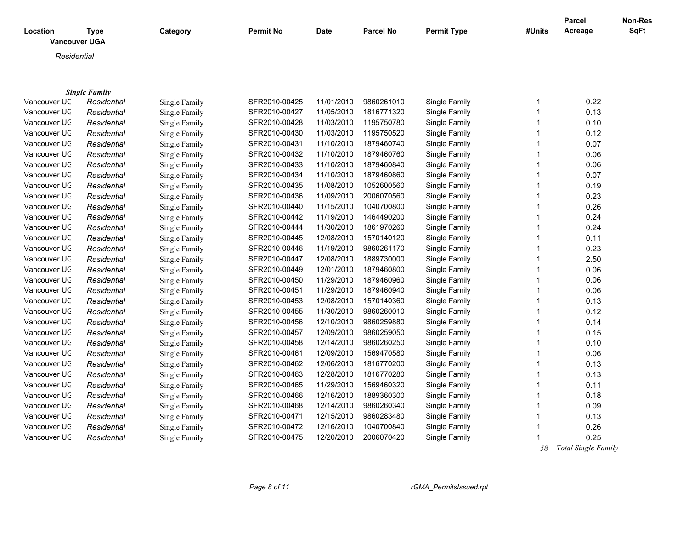| Location<br><b>Vancouver UGA</b> | <b>Type</b>          | Category      | <b>Permit No</b> | <b>Date</b> | <b>Parcel No</b> | <b>Permit Type</b> | #Units | <b>Parcel</b><br>Acreage | Non-Res<br>SqFt |
|----------------------------------|----------------------|---------------|------------------|-------------|------------------|--------------------|--------|--------------------------|-----------------|
| Residential                      |                      |               |                  |             |                  |                    |        |                          |                 |
|                                  |                      |               |                  |             |                  |                    |        |                          |                 |
|                                  |                      |               |                  |             |                  |                    |        |                          |                 |
|                                  | <b>Single Family</b> |               |                  |             |                  |                    |        |                          |                 |
| Vancouver UC                     | Residential          | Single Family | SFR2010-00425    | 11/01/2010  | 9860261010       | Single Family      |        | 0.22                     |                 |
| Vancouver UC                     | Residential          | Single Family | SFR2010-00427    | 11/05/2010  | 1816771320       | Single Family      |        | 0.13                     |                 |
| Vancouver UC                     | Residential          | Single Family | SFR2010-00428    | 11/03/2010  | 1195750780       | Single Family      |        | 0.10                     |                 |
| Vancouver UC                     | Residential          | Single Family | SFR2010-00430    | 11/03/2010  | 1195750520       | Single Family      |        | 0.12                     |                 |
| Vancouver UC                     | Residential          | Single Family | SFR2010-00431    | 11/10/2010  | 1879460740       | Single Family      |        | 0.07                     |                 |
| Vancouver UC                     | Residential          | Single Family | SFR2010-00432    | 11/10/2010  | 1879460760       | Single Family      |        | 0.06                     |                 |
| Vancouver UC                     | Residential          | Single Family | SFR2010-00433    | 11/10/2010  | 1879460840       | Single Family      |        | 0.06                     |                 |
| Vancouver UC                     | Residential          | Single Family | SFR2010-00434    | 11/10/2010  | 1879460860       | Single Family      |        | 0.07                     |                 |
| Vancouver UC                     | Residential          | Single Family | SFR2010-00435    | 11/08/2010  | 1052600560       | Single Family      |        | 0.19                     |                 |
| Vancouver UC                     | Residential          | Single Family | SFR2010-00436    | 11/09/2010  | 2006070560       | Single Family      |        | 0.23                     |                 |
| Vancouver UC                     | Residential          | Single Family | SFR2010-00440    | 11/15/2010  | 1040700800       | Single Family      |        | 0.26                     |                 |
| Vancouver UC                     | Residential          | Single Family | SFR2010-00442    | 11/19/2010  | 1464490200       | Single Family      |        | 0.24                     |                 |
| Vancouver UC                     | Residential          | Single Family | SFR2010-00444    | 11/30/2010  | 1861970260       | Single Family      |        | 0.24                     |                 |
| Vancouver UC                     | Residential          | Single Family | SFR2010-00445    | 12/08/2010  | 1570140120       | Single Family      |        | 0.11                     |                 |
| Vancouver UC                     | Residential          | Single Family | SFR2010-00446    | 11/19/2010  | 9860261170       | Single Family      |        | 0.23                     |                 |
| Vancouver UC                     | Residential          | Single Family | SFR2010-00447    | 12/08/2010  | 1889730000       | Single Family      |        | 2.50                     |                 |
| Vancouver UC                     | Residential          | Single Family | SFR2010-00449    | 12/01/2010  | 1879460800       | Single Family      |        | 0.06                     |                 |
| Vancouver UC                     | Residential          | Single Family | SFR2010-00450    | 11/29/2010  | 1879460960       | Single Family      |        | 0.06                     |                 |
| Vancouver UC                     | Residential          | Single Family | SFR2010-00451    | 11/29/2010  | 1879460940       | Single Family      |        | 0.06                     |                 |
| Vancouver UC                     | Residential          | Single Family | SFR2010-00453    | 12/08/2010  | 1570140360       | Single Family      |        | 0.13                     |                 |
| Vancouver UC                     | Residential          | Single Family | SFR2010-00455    | 11/30/2010  | 9860260010       | Single Family      |        | 0.12                     |                 |
| Vancouver UC                     | Residential          | Single Family | SFR2010-00456    | 12/10/2010  | 9860259880       | Single Family      |        | 0.14                     |                 |
| Vancouver UC                     | Residential          | Single Family | SFR2010-00457    | 12/09/2010  | 9860259050       | Single Family      |        | 0.15                     |                 |
|                                  |                      |               |                  |             |                  |                    |        |                          |                 |

Vancouver UGA *Residential* Single Family SFR2010-00458 12/14/2010 9860260250 Single Family 1 0.10 Vancouver UGA *Residential* Single Family SFR2010-00461 12/09/2010 1569470580 Single Family 1 0.06 Vancouver UGA *Residential* Single Family SFR2010-00462 12/06/2010 1816770200 Single Family 1 0.13 Vancouver UGA *Residential* Single Family SFR2010-00463 12/28/2010 1816770280 Single Family 1 0.13 Vancouver UGA *Residential* Single Family SFR2010-00465 11/29/2010 1569460320 Single Family 1 0.11 Vancouver UGA *Residential* Single Family SFR2010-00466 12/16/2010 1889360300 Single Family 1 0.18 Vancouver UGA *Residential* Single Family SFR2010-00468 12/14/2010 9860260340 Single Family 1 0.09 Vancouver UGA *Residential* Single Family SFR2010-00471 12/15/2010 9860283480 Single Family 1 0.13 Vancouver UGA *Residential* Single Family SFR2010-00472 12/16/2010 1040700840 Single Family 1 0.26 Vancouver UGA *Residential* Single Family SFR2010-00475 12/20/2010 2006070420 Single Family 1 0.25

 *58 Total Single Family*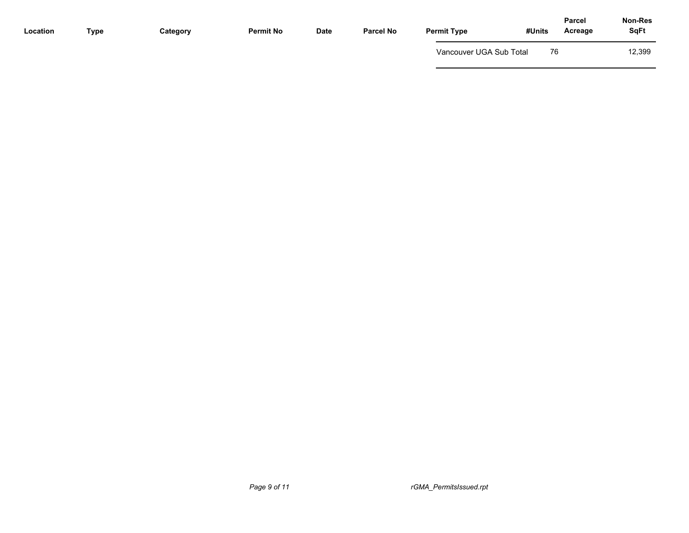| Location | <b>Type</b> | Category | <b>Permit No</b> | Date | <b>Parcel No</b> | <b>Permit Type</b>      | #Units | <b>Parcel</b><br>Acreage | Non-Res<br><b>SqFt</b> |
|----------|-------------|----------|------------------|------|------------------|-------------------------|--------|--------------------------|------------------------|
|          |             |          |                  |      |                  | Vancouver UGA Sub Total | 76     |                          | 12,399                 |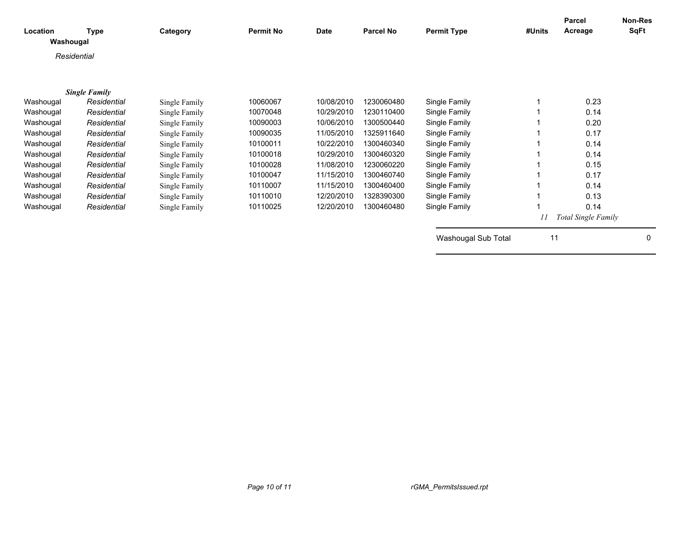| Location<br>Washougal | <b>Type</b>          | Category      | <b>Permit No</b> | <b>Date</b> | <b>Parcel No</b> | <b>Permit Type</b>  | #Units | <b>Parcel</b><br>Acreage | Non-Res<br>SqFt |
|-----------------------|----------------------|---------------|------------------|-------------|------------------|---------------------|--------|--------------------------|-----------------|
| Residential           |                      |               |                  |             |                  |                     |        |                          |                 |
|                       |                      |               |                  |             |                  |                     |        |                          |                 |
|                       | <b>Single Family</b> |               |                  |             |                  |                     |        |                          |                 |
| Washougal             | Residential          | Single Family | 10060067         | 10/08/2010  | 1230060480       | Single Family       |        | 0.23                     |                 |
| Washougal             | Residential          | Single Family | 10070048         | 10/29/2010  | 1230110400       | Single Family       |        | 0.14                     |                 |
| Washougal             | Residential          | Single Family | 10090003         | 10/06/2010  | 1300500440       | Single Family       |        | 0.20                     |                 |
| Washougal             | Residential          | Single Family | 10090035         | 11/05/2010  | 1325911640       | Single Family       |        | 0.17                     |                 |
| Washougal             | Residential          | Single Family | 10100011         | 10/22/2010  | 1300460340       | Single Family       |        | 0.14                     |                 |
| Washougal             | Residential          | Single Family | 10100018         | 10/29/2010  | 1300460320       | Single Family       |        | 0.14                     |                 |
| Washougal             | Residential          | Single Family | 10100028         | 11/08/2010  | 1230060220       | Single Family       |        | 0.15                     |                 |
| Washougal             | Residential          | Single Family | 10100047         | 11/15/2010  | 1300460740       | Single Family       |        | 0.17                     |                 |
| Washougal             | Residential          | Single Family | 10110007         | 11/15/2010  | 1300460400       | Single Family       |        | 0.14                     |                 |
| Washougal             | Residential          | Single Family | 10110010         | 12/20/2010  | 1328390300       | Single Family       |        | 0.13                     |                 |
| Washougal             | Residential          | Single Family | 10110025         | 12/20/2010  | 1300460480       | Single Family       |        | 0.14                     |                 |
|                       |                      |               |                  |             |                  |                     |        | Total Single Family      |                 |
|                       |                      |               |                  |             |                  | Washougal Sub Total | 11     |                          | $\Omega$        |